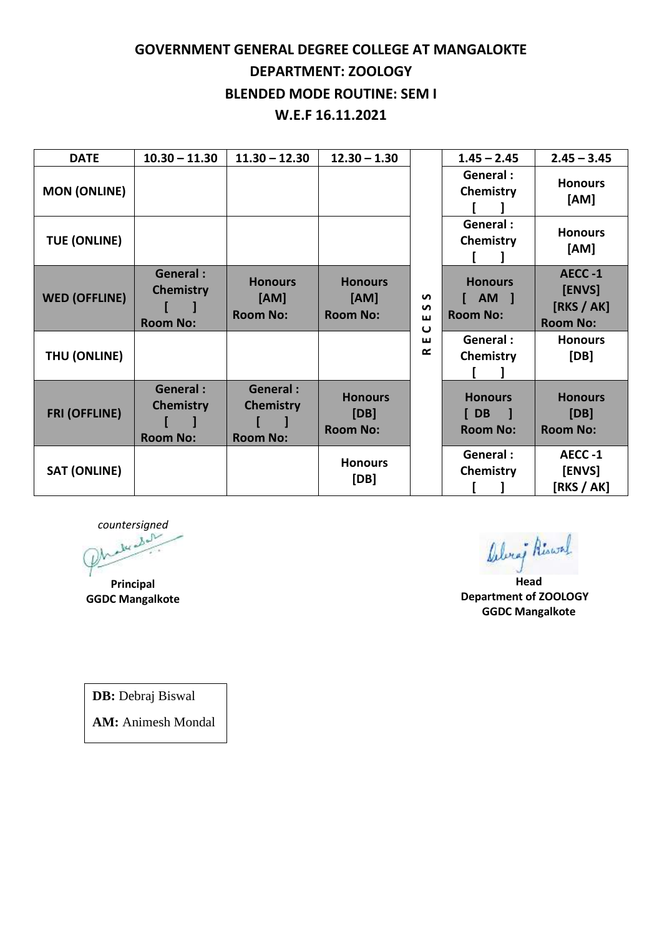## **GOVERNMENT GENERAL DEGREE COLLEGE AT MANGALOKTE DEPARTMENT: ZOOLOGY BLENDED MODE ROUTINE: SEM I W.E.F 16.11.2021**

| <b>DATE</b>          | $10.30 - 11.30$                                        | $11.30 - 12.30$                                        | $12.30 - 1.30$                            |                                             | $1.45 - 2.45$                               | $2.45 - 3.45$                                     |
|----------------------|--------------------------------------------------------|--------------------------------------------------------|-------------------------------------------|---------------------------------------------|---------------------------------------------|---------------------------------------------------|
| <b>MON (ONLINE)</b>  |                                                        |                                                        |                                           |                                             | General :<br>Chemistry                      | <b>Honours</b><br>[AM]                            |
| <b>TUE (ONLINE)</b>  |                                                        |                                                        |                                           |                                             | General :<br>Chemistry                      | <b>Honours</b><br>[AM]                            |
| <b>WED (OFFLINE)</b> | <b>General:</b><br><b>Chemistry</b><br><b>Room No:</b> | <b>Honours</b><br>[AM]<br><b>Room No:</b>              | <b>Honours</b><br>[AM]<br><b>Room No:</b> | S<br>$\mathbf{v}$<br>ш<br>$\mathbf{\omega}$ | <b>Honours</b><br>AM 1<br><b>Room No:</b>   | AECC-1<br>[ENVS]<br>[RKS / AK]<br><b>Room No:</b> |
| THU (ONLINE)         |                                                        |                                                        |                                           | ш<br>œ                                      | General:<br>Chemistry                       | <b>Honours</b><br>[DB]                            |
| <b>FRI (OFFLINE)</b> | <b>General:</b><br><b>Chemistry</b><br><b>Room No:</b> | <b>General:</b><br><b>Chemistry</b><br><b>Room No:</b> | <b>Honours</b><br>[DB]<br><b>Room No:</b> |                                             | <b>Honours</b><br>$[$ DB<br><b>Room No:</b> | <b>Honours</b><br>[DB]<br><b>Room No:</b>         |
| <b>SAT (ONLINE)</b>  |                                                        |                                                        | <b>Honours</b><br>[DB]                    |                                             | General :<br>Chemistry                      | AECC-1<br>[ENVS]<br>[RKS / AK]                    |

*countersigned*

**Principal GGDC Mangalkote** belong Riswal

**Head Department of ZOOLOGY GGDC Mangalkote**

**DB:** Debraj Biswal

**AM:** Animesh Mondal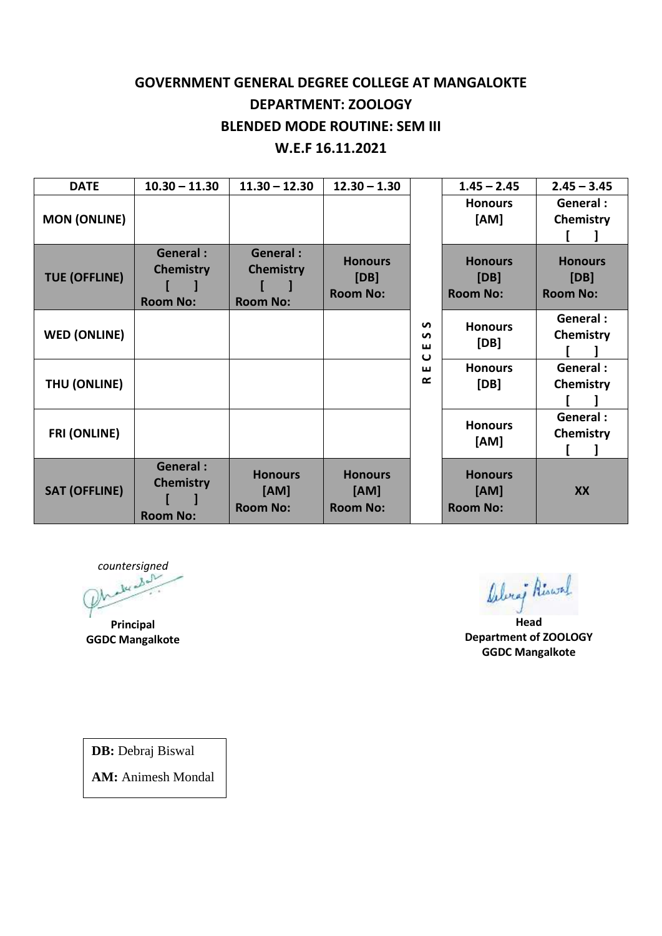## **GOVERNMENT GENERAL DEGREE COLLEGE AT MANGALOKTE DEPARTMENT: ZOOLOGY BLENDED MODE ROUTINE: SEM III W.E.F 16.11.2021**

| <b>DATE</b>          | $10.30 - 11.30$                                        | $11.30 - 12.30$                                        | $12.30 - 1.30$                            |                                         | $1.45 - 2.45$                             | $2.45 - 3.45$                             |
|----------------------|--------------------------------------------------------|--------------------------------------------------------|-------------------------------------------|-----------------------------------------|-------------------------------------------|-------------------------------------------|
| <b>MON (ONLINE)</b>  |                                                        |                                                        |                                           |                                         | <b>Honours</b><br>[AM]                    | General :<br>Chemistry                    |
| <b>TUE (OFFLINE)</b> | <b>General:</b><br><b>Chemistry</b><br><b>Room No:</b> | <b>General:</b><br><b>Chemistry</b><br><b>Room No:</b> | <b>Honours</b><br>[DB]<br><b>Room No:</b> |                                         | <b>Honours</b><br>[DB]<br><b>Room No:</b> | <b>Honours</b><br>[DB]<br><b>Room No:</b> |
| <b>WED (ONLINE)</b>  |                                                        |                                                        |                                           | <b>S</b><br>S<br>ш<br>$\mathbf{\omega}$ | <b>Honours</b><br>[DB]                    | General :<br>Chemistry                    |
| THU (ONLINE)         |                                                        |                                                        |                                           | ш<br>$\alpha$                           | <b>Honours</b><br>[DB]                    | General :<br>Chemistry                    |
| <b>FRI (ONLINE)</b>  |                                                        |                                                        |                                           |                                         | <b>Honours</b><br>[AM]                    | General :<br>Chemistry                    |
| <b>SAT (OFFLINE)</b> | <b>General:</b><br><b>Chemistry</b><br><b>Room No:</b> | <b>Honours</b><br>[AM]<br><b>Room No:</b>              | <b>Honours</b><br>[AM]<br><b>Room No:</b> |                                         | <b>Honours</b><br>[AM]<br><b>Room No:</b> | XX                                        |

*countersigned*

**Principal GGDC Mangalkote**

Alvey Riswal

**Head Department of ZOOLOGY GGDC Mangalkote**

**DB:** Debraj Biswal

**AM:** Animesh Mondal